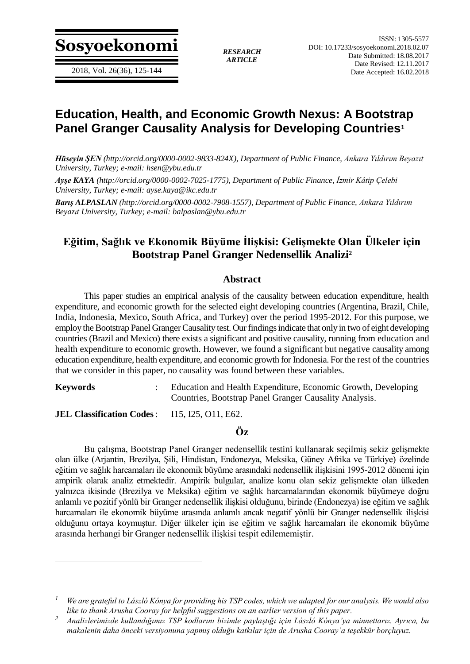**Sosyoekonomi** *RESEARCH*

*ARTICLE*

# **Education, Health, and Economic Growth Nexus: A Bootstrap Panel Granger Causality Analysis for Developing Countries<sup>1</sup>**

*Hüseyin ŞEN (http://orcid.org/0000-0002-9833-824X), Department of Public Finance, Ankara Yıldırım Beyazıt University, Turkey; e-mail: hsen@ybu.edu.tr*

*Ayşe KAYA (http://orcid.org/0000-0002-7025-1775), Department of Public Finance, İzmir Kâtip Çelebi University, Turkey; e-mail: ayse.kaya@ikc.edu.tr*

*Barış ALPASLAN (http://orcid.org/0000-0002-7908-1557), Department of Public Finance, Ankara Yıldırım Beyazıt University, Turkey; e-mail: balpaslan@ybu.edu.tr*

# **Eğitim, Sağlık ve Ekonomik Büyüme İlişkisi: Gelişmekte Olan Ülkeler için Bootstrap Panel Granger Nedensellik Analizi<sup>2</sup>**

#### **Abstract**

This paper studies an empirical analysis of the causality between education expenditure, health expenditure, and economic growth for the selected eight developing countries (Argentina, Brazil, Chile, India, Indonesia, Mexico, South Africa, and Turkey) over the period 1995-2012. For this purpose, we employ the Bootstrap Panel Granger Causality test. Our findings indicate that only in two of eight developing countries (Brazil and Mexico) there exists a significant and positive causality, running from education and health expenditure to economic growth. However, we found a significant but negative causality among education expenditure, health expenditure, and economic growth for Indonesia. For the rest of the countries that we consider in this paper, no causality was found between these variables.

 $\overline{a}$ 

**Keywords** : Education and Health Expenditure, Economic Growth, Developing Countries, Bootstrap Panel Granger Causality Analysis.

**JEL Classification Codes**: I15, I25, O11, E62.

#### **Öz**

Bu çalışma, Bootstrap Panel Granger nedensellik testini kullanarak seçilmiş sekiz gelişmekte olan ülke (Arjantin, Brezilya, Şili, Hindistan, Endonezya, Meksika, Güney Afrika ve Türkiye) özelinde eğitim ve sağlık harcamaları ile ekonomik büyüme arasındaki nedensellik ilişkisini 1995-2012 dönemi için ampirik olarak analiz etmektedir. Ampirik bulgular, analize konu olan sekiz gelişmekte olan ülkeden yalnızca ikisinde (Brezilya ve Meksika) eğitim ve sağlık harcamalarından ekonomik büyümeye doğru anlamlı ve pozitif yönlü bir Granger nedensellik ilişkisi olduğunu, birinde (Endonezya) ise eğitim ve sağlık harcamaları ile ekonomik büyüme arasında anlamlı ancak negatif yönlü bir Granger nedensellik ilişkisi olduğunu ortaya koymuştur. Diğer ülkeler için ise eğitim ve sağlık harcamaları ile ekonomik büyüme arasında herhangi bir Granger nedensellik ilişkisi tespit edilememiştir.

*<sup>1</sup> We are grateful to László Kónya for providing his TSP codes, which we adapted for our analysis. We would also like to thank Arusha Cooray for helpful suggestions on an earlier version of this paper.*

*<sup>2</sup> Analizlerimizde kullandığımız TSP kodlarını bizimle paylaştığı için László Kónya'ya minnettarız. Ayrıca, bu makalenin daha önceki versiyonuna yapmış olduğu katkılar için de Arusha Cooray'a teşekkür borçluyuz.*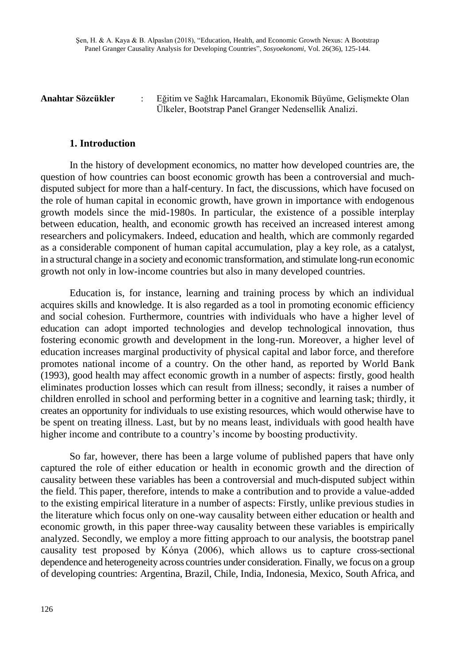**Anahtar Sözcükler** : Eğitim ve Sağlık Harcamaları, Ekonomik Büyüme, Gelişmekte Olan Ülkeler, Bootstrap Panel Granger Nedensellik Analizi.

#### **1. Introduction**

In the history of development economics, no matter how developed countries are, the question of how countries can boost economic growth has been a controversial and muchdisputed subject for more than a half-century. In fact, the discussions, which have focused on the role of human capital in economic growth, have grown in importance with endogenous growth models since the mid-1980s. In particular, the existence of a possible interplay between education, health, and economic growth has received an increased interest among researchers and policymakers. Indeed, education and health, which are commonly regarded as a considerable component of human capital accumulation, play a key role, as a catalyst, in a structural change in a society and economic transformation, and stimulate long-run economic growth not only in low-income countries but also in many developed countries.

Education is, for instance, learning and training process by which an individual acquires skills and knowledge. It is also regarded as a tool in promoting economic efficiency and social cohesion. Furthermore, countries with individuals who have a higher level of education can adopt imported technologies and develop technological innovation, thus fostering economic growth and development in the long-run. Moreover, a higher level of education increases marginal productivity of physical capital and labor force, and therefore promotes national income of a country. On the other hand, as reported by World Bank (1993), good health may affect economic growth in a number of aspects: firstly, good health eliminates production losses which can result from illness; secondly, it raises a number of children enrolled in school and performing better in a cognitive and learning task; thirdly, it creates an opportunity for individuals to use existing resources, which would otherwise have to be spent on treating illness. Last, but by no means least, individuals with good health have higher income and contribute to a country's income by boosting productivity.

So far, however, there has been a large volume of published papers that have only captured the role of either education or health in economic growth and the direction of causality between these variables has been a controversial and much-disputed subject within the field. This paper, therefore, intends to make a contribution and to provide a value-added to the existing empirical literature in a number of aspects: Firstly, unlike previous studies in the literature which focus only on one-way causality between either education or health and economic growth, in this paper three-way causality between these variables is empirically analyzed. Secondly, we employ a more fitting approach to our analysis, the bootstrap panel causality test proposed by Kónya (2006), which allows us to capture cross-sectional dependence and heterogeneity across countries under consideration. Finally, we focus on a group of developing countries: Argentina, Brazil, Chile, India, Indonesia, Mexico, South Africa, and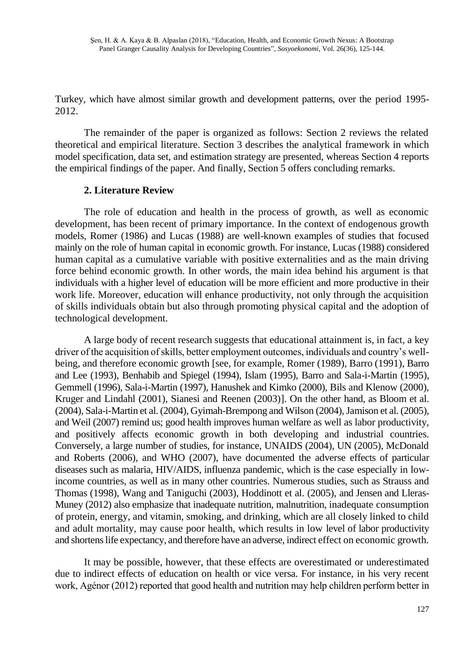Turkey, which have almost similar growth and development patterns, over the period 1995- 2012.

The remainder of the paper is organized as follows: Section 2 reviews the related theoretical and empirical literature. Section 3 describes the analytical framework in which model specification, data set, and estimation strategy are presented, whereas Section 4 reports the empirical findings of the paper. And finally, Section 5 offers concluding remarks.

# **2. Literature Review**

The role of education and health in the process of growth, as well as economic development, has been recent of primary importance. In the context of endogenous growth models, Romer (1986) and Lucas (1988) are well-known examples of studies that focused mainly on the role of human capital in economic growth. For instance, Lucas (1988) considered human capital as a cumulative variable with positive externalities and as the main driving force behind economic growth. In other words, the main idea behind his argument is that individuals with a higher level of education will be more efficient and more productive in their work life. Moreover, education will enhance productivity, not only through the acquisition of skills individuals obtain but also through promoting physical capital and the adoption of technological development.

A large body of recent research suggests that educational attainment is, in fact, a key driver of the acquisition of skills, better employment outcomes, individuals and country's wellbeing, and therefore economic growth [see, for example, Romer (1989), Barro (1991), Barro and Lee (1993), Benhabib and Spiegel (1994), Islam (1995), Barro and Sala-i-Martin (1995), Gemmell (1996), Sala-i-Martin (1997), Hanushek and Kimko (2000), Bils and Klenow (2000), Kruger and Lindahl (2001), Sianesi and Reenen (2003)]. On the other hand, as Bloom et al. (2004), Sala-i-Martin et al. (2004), Gyimah-Brempong and Wilson (2004), Jamison et al. (2005), and Weil (2007) remind us; good health improves human welfare as well as labor productivity, and positively affects economic growth in both developing and industrial countries. Conversely, a large number of studies, for instance, UNAIDS (2004), UN (2005), McDonald and Roberts (2006), and WHO (2007), have documented the adverse effects of particular diseases such as malaria, HIV/AIDS, influenza pandemic, which is the case especially in lowincome countries, as well as in many other countries. Numerous studies, such as Strauss and Thomas (1998), Wang and Taniguchi (2003), Hoddinott et al. (2005), and Jensen and Lleras-Muney (2012) also emphasize that inadequate nutrition, malnutrition, inadequate consumption of protein, energy, and vitamin, smoking, and drinking, which are all closely linked to child and adult mortality, may cause poor health, which results in low level of labor productivity and shortens life expectancy, and therefore have an adverse, indirect effect on economic growth.

It may be possible, however, that these effects are overestimated or underestimated due to indirect effects of education on health or vice versa. For instance, in his very recent work, Agénor (2012) reported that good health and nutrition may help children perform better in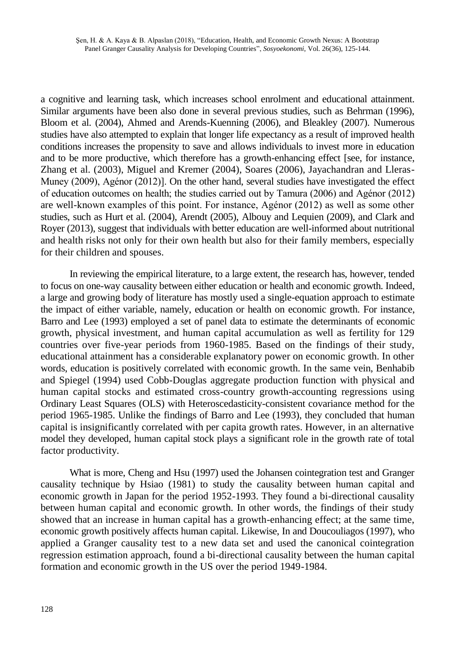a cognitive and learning task, which increases school enrolment and educational attainment. Similar arguments have been also done in several previous studies, such as Behrman (1996), Bloom et al. (2004), Ahmed and Arends-Kuenning (2006), and Bleakley (2007). Numerous studies have also attempted to explain that longer life expectancy as a result of improved health conditions increases the propensity to save and allows individuals to invest more in education and to be more productive, which therefore has a growth-enhancing effect [see, for instance, Zhang et al. (2003), Miguel and Kremer (2004), Soares (2006), Jayachandran and Lleras-Muney (2009), Agénor (2012)]. On the other hand, several studies have investigated the effect of education outcomes on health; the studies carried out by Tamura (2006) and Agénor (2012) are well-known examples of this point. For instance, Agénor (2012) as well as some other studies, such as Hurt et al. (2004), Arendt (2005), Albouy and Lequien (2009), and Clark and Royer (2013), suggest that individuals with better education are well-informed about nutritional and health risks not only for their own health but also for their family members, especially for their children and spouses.

In reviewing the empirical literature, to a large extent, the research has, however, tended to focus on one-way causality between either education or health and economic growth. Indeed, a large and growing body of literature has mostly used a single-equation approach to estimate the impact of either variable, namely, education or health on economic growth. For instance, Barro and Lee (1993) employed a set of panel data to estimate the determinants of economic growth, physical investment, and human capital accumulation as well as fertility for 129 countries over five-year periods from 1960-1985. Based on the findings of their study, educational attainment has a considerable explanatory power on economic growth. In other words, education is positively correlated with economic growth. In the same vein, Benhabib and Spiegel (1994) used Cobb-Douglas aggregate production function with physical and human capital stocks and estimated cross-country growth-accounting regressions using Ordinary Least Squares (OLS) with Heteroscedasticity-consistent covariance method for the period 1965-1985. Unlike the findings of Barro and Lee (1993), they concluded that human capital is insignificantly correlated with per capita growth rates. However, in an alternative model they developed, human capital stock plays a significant role in the growth rate of total factor productivity.

What is more, Cheng and Hsu (1997) used the Johansen cointegration test and Granger causality technique by Hsiao (1981) to study the causality between human capital and economic growth in Japan for the period 1952-1993. They found a bi-directional causality between human capital and economic growth. In other words, the findings of their study showed that an increase in human capital has a growth-enhancing effect; at the same time, economic growth positively affects human capital. Likewise, In and Doucouliagos (1997), who applied a Granger causality test to a new data set and used the canonical cointegration regression estimation approach, found a bi-directional causality between the human capital formation and economic growth in the US over the period 1949-1984.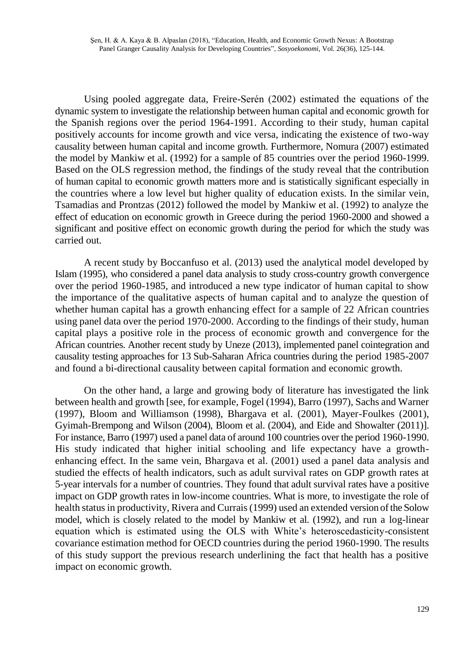Using pooled aggregate data, Freire-Serén (2002) estimated the equations of the dynamic system to investigate the relationship between human capital and economic growth for the Spanish regions over the period 1964-1991. According to their study, human capital positively accounts for income growth and vice versa, indicating the existence of two-way causality between human capital and income growth. Furthermore, Nomura (2007) estimated the model by Mankiw et al. (1992) for a sample of 85 countries over the period 1960-1999. Based on the OLS regression method, the findings of the study reveal that the contribution of human capital to economic growth matters more and is statistically significant especially in the countries where a low level but higher quality of education exists. In the similar vein, Tsamadias and Prontzas (2012) followed the model by Mankiw et al. (1992) to analyze the effect of education on economic growth in Greece during the period 1960-2000 and showed a significant and positive effect on economic growth during the period for which the study was carried out.

A recent study by Boccanfuso et al. (2013) used the analytical model developed by Islam (1995), who considered a panel data analysis to study cross-country growth convergence over the period 1960-1985, and introduced a new type indicator of human capital to show the importance of the qualitative aspects of human capital and to analyze the question of whether human capital has a growth enhancing effect for a sample of 22 African countries using panel data over the period 1970-2000. According to the findings of their study, human capital plays a positive role in the process of economic growth and convergence for the African countries. Another recent study by Uneze (2013), implemented panel cointegration and causality testing approaches for 13 Sub-Saharan Africa countries during the period 1985-2007 and found a bi-directional causality between capital formation and economic growth.

On the other hand, a large and growing body of literature has investigated the link between health and growth [see, for example, Fogel (1994), Barro (1997), Sachs and Warner (1997), Bloom and Williamson (1998), Bhargava et al. (2001), Mayer-Foulkes (2001), Gyimah-Brempong and Wilson (2004), Bloom et al. (2004), and Eide and Showalter (2011)]. For instance, Barro (1997) used a panel data of around 100 countries over the period 1960-1990. His study indicated that higher initial schooling and life expectancy have a growthenhancing effect. In the same vein, Bhargava et al. (2001) used a panel data analysis and studied the effects of health indicators, such as adult survival rates on GDP growth rates at 5-year intervals for a number of countries. They found that adult survival rates have a positive impact on GDP growth rates in low-income countries. What is more, to investigate the role of health status in productivity, Rivera and Currais (1999) used an extended version of the Solow model, which is closely related to the model by Mankiw et al. (1992), and run a log-linear equation which is estimated using the OLS with White's heteroscedasticity-consistent covariance estimation method for OECD countries during the period 1960-1990. The results of this study support the previous research underlining the fact that health has a positive impact on economic growth.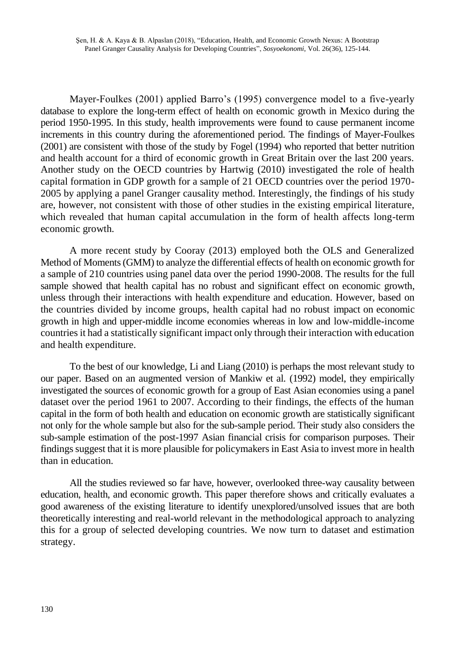Mayer-Foulkes (2001) applied Barro's (1995) convergence model to a five-yearly database to explore the long-term effect of health on economic growth in Mexico during the period 1950-1995. In this study, health improvements were found to cause permanent income increments in this country during the aforementioned period. The findings of Mayer-Foulkes (2001) are consistent with those of the study by Fogel (1994) who reported that better nutrition and health account for a third of economic growth in Great Britain over the last 200 years. Another study on the OECD countries by Hartwig (2010) investigated the role of health capital formation in GDP growth for a sample of 21 OECD countries over the period 1970- 2005 by applying a panel Granger causality method. Interestingly, the findings of his study are, however, not consistent with those of other studies in the existing empirical literature, which revealed that human capital accumulation in the form of health affects long-term economic growth.

A more recent study by Cooray (2013) employed both the OLS and Generalized Method of Moments (GMM) to analyze the differential effects of health on economic growth for a sample of 210 countries using panel data over the period 1990-2008. The results for the full sample showed that health capital has no robust and significant effect on economic growth, unless through their interactions with health expenditure and education. However, based on the countries divided by income groups, health capital had no robust impact on economic growth in high and upper-middle income economies whereas in low and low-middle-income countries it had a statistically significant impact only through their interaction with education and health expenditure.

To the best of our knowledge, Li and Liang (2010) is perhaps the most relevant study to our paper. Based on an augmented version of Mankiw et al. (1992) model, they empirically investigated the sources of economic growth for a group of East Asian economies using a panel dataset over the period 1961 to 2007. According to their findings, the effects of the human capital in the form of both health and education on economic growth are statistically significant not only for the whole sample but also for the sub-sample period. Their study also considers the sub-sample estimation of the post-1997 Asian financial crisis for comparison purposes. Their findings suggest that it is more plausible for policymakers in East Asia to invest more in health than in education.

All the studies reviewed so far have, however, overlooked three-way causality between education, health, and economic growth. This paper therefore shows and critically evaluates a good awareness of the existing literature to identify unexplored/unsolved issues that are both theoretically interesting and real-world relevant in the methodological approach to analyzing this for a group of selected developing countries. We now turn to dataset and estimation strategy.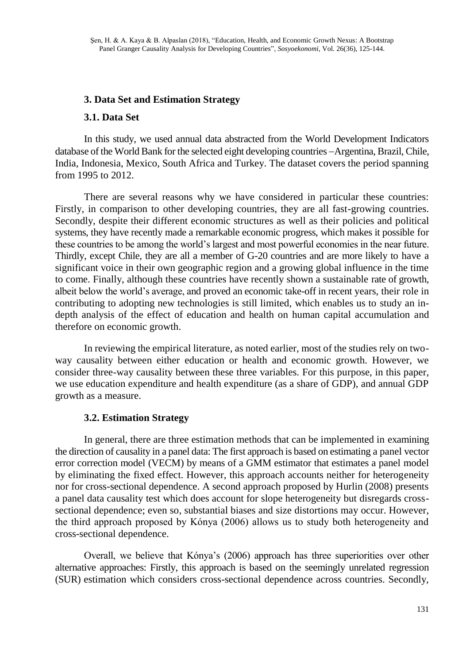# **3. Data Set and Estimation Strategy**

## **3.1. Data Set**

In this study, we used annual data abstracted from the World Development Indicators database of the World Bank for the selected eight developing countries -Argentina, Brazil, Chile, India, Indonesia, Mexico, South Africa and Turkey. The dataset covers the period spanning from 1995 to 2012.

There are several reasons why we have considered in particular these countries: Firstly, in comparison to other developing countries, they are all fast-growing countries. Secondly, despite their different economic structures as well as their policies and political systems, they have recently made a remarkable economic progress, which makes it possible for these countries to be among the world's largest and most powerful economies in the near future. Thirdly, except Chile, they are all a member of G-20 countries and are more likely to have a significant voice in their own geographic region and a growing global influence in the time to come. Finally, although these countries have recently shown a sustainable rate of growth, albeit below the world's average, and proved an economic take-off in recent years, their role in contributing to adopting new technologies is still limited, which enables us to study an indepth analysis of the effect of education and health on human capital accumulation and therefore on economic growth.

In reviewing the empirical literature, as noted earlier, most of the studies rely on twoway causality between either education or health and economic growth. However, we consider three-way causality between these three variables. For this purpose, in this paper, we use education expenditure and health expenditure (as a share of GDP), and annual GDP growth as a measure.

## **3.2. Estimation Strategy**

In general, there are three estimation methods that can be implemented in examining the direction of causality in a panel data: The first approach is based on estimating a panel vector error correction model (VECM) by means of a GMM estimator that estimates a panel model by eliminating the fixed effect. However, this approach accounts neither for heterogeneity nor for cross-sectional dependence. A second approach proposed by Hurlin (2008) presents a panel data causality test which does account for slope heterogeneity but disregards crosssectional dependence; even so, substantial biases and size distortions may occur. However, the third approach proposed by Kónya (2006) allows us to study both heterogeneity and cross-sectional dependence.

Overall, we believe that Kónya's (2006) approach has three superiorities over other alternative approaches: Firstly, this approach is based on the seemingly unrelated regression (SUR) estimation which considers cross-sectional dependence across countries. Secondly,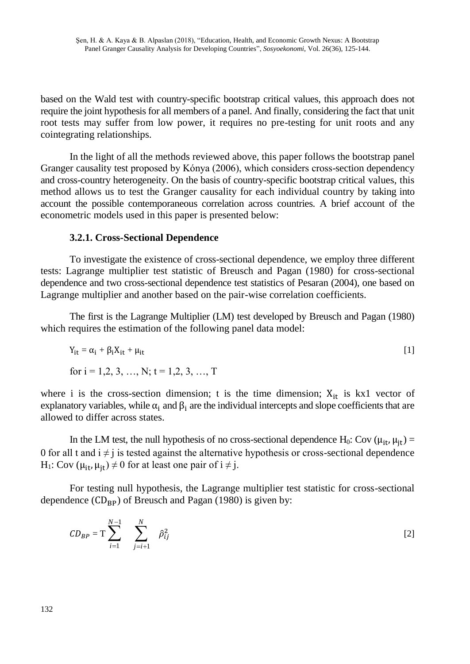based on the Wald test with country-specific bootstrap critical values, this approach does not require the joint hypothesis for all members of a panel. And finally, considering the fact that unit root tests may suffer from low power, it requires no pre-testing for unit roots and any cointegrating relationships.

In the light of all the methods reviewed above, this paper follows the bootstrap panel Granger causality test proposed by Kónya (2006), which considers cross-section dependency and cross-country heterogeneity. On the basis of country-specific bootstrap critical values, this method allows us to test the Granger causality for each individual country by taking into account the possible contemporaneous correlation across countries. A brief account of the econometric models used in this paper is presented below:

## **3.2.1. Cross-Sectional Dependence**

To investigate the existence of cross-sectional dependence, we employ three different tests: Lagrange multiplier test statistic of Breusch and Pagan (1980) for cross-sectional dependence and two cross-sectional dependence test statistics of Pesaran (2004), one based on Lagrange multiplier and another based on the pair-wise correlation coefficients.

The first is the Lagrange Multiplier (LM) test developed by Breusch and Pagan (1980) which requires the estimation of the following panel data model:

$$
Y_{it} = \alpha_i + \beta_i X_{it} + \mu_{it}
$$
  
for  $i = 1, 2, 3, ..., N$ ;  $t = 1, 2, 3, ..., T$  [1]

where i is the cross-section dimension; t is the time dimension;  $X_{it}$  is kx1 vector of explanatory variables, while  $\alpha_i$  and  $\beta_i$  are the individual intercepts and slope coefficients that are allowed to differ across states.

In the LM test, the null hypothesis of no cross-sectional dependence H<sub>0</sub>: Cov ( $\mu_{it}$ ,  $\mu_{it}$ ) = 0 for all t and  $i \neq j$  is tested against the alternative hypothesis or cross-sectional dependence H<sub>1</sub>: Cov ( $\mu_{it}$ ,  $\mu_{it}$ )  $\neq$  0 for at least one pair of  $i \neq j$ .

For testing null hypothesis, the Lagrange multiplier test statistic for cross-sectional dependence  $(CD_{BP})$  of Breusch and Pagan (1980) is given by:

$$
CD_{BP} = T \sum_{i=1}^{N-1} \sum_{j=i+1}^{N} \hat{\rho}_{ij}^2
$$
 [2]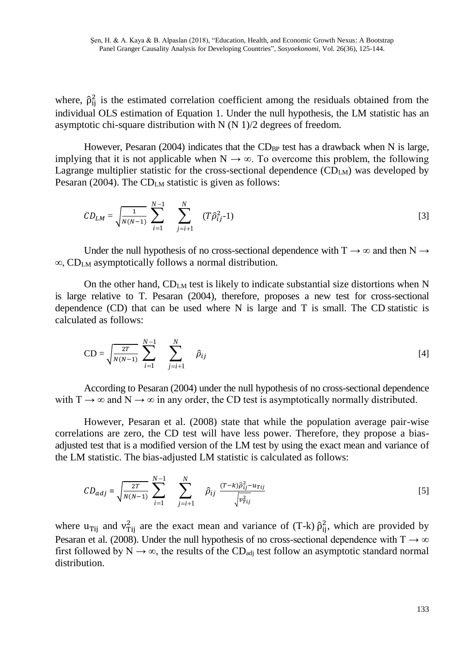where,  $\hat{\rho}_{ij}^2$  is the estimated correlation coefficient among the residuals obtained from the individual OLS estimation of Equation 1. Under the null hypothesis, the LM statistic has an asymptotic chi-square distribution with N (N 1)/2 degrees of freedom.

However, Pesaran (2004) indicates that the CD<sub>BP</sub> test has a drawback when N is large, implying that it is not applicable when  $N \rightarrow \infty$ . To overcome this problem, the following Lagrange multiplier statistic for the cross-sectional dependence  $(CD<sub>LM</sub>)$  was developed by Pesaran (2004). The  $CD_{LM}$  statistic is given as follows:

$$
CD_{LM} = \sqrt{\frac{1}{N(N-1)}} \sum_{i=1}^{N-1} \sum_{j=i+1}^{N} (T\hat{\rho}_{ij}^2 - 1)
$$
 [3]

Under the null hypothesis of no cross-sectional dependence with  $T \rightarrow \infty$  and then N  $\rightarrow$ ∞, CDLM asymptotically follows a normal distribution.

On the other hand,  $CD_{LM}$  test is likely to indicate substantial size distortions when N is large relative to T. Pesaran (2004), therefore, proposes a new test for cross-sectional dependence  $(CD)$  that can be used where N is large and T is small. The CD statistic is calculated as follows:

$$
CD = \sqrt{\frac{2T}{N(N-1)}} \sum_{i=1}^{N-1} \sum_{j=i+1}^{N} \hat{\rho}_{ij}
$$
 [4]

According to Pesaran (2004) under the null hypothesis of no cross-sectional dependence with  $T \rightarrow \infty$  and  $N \rightarrow \infty$  in any order, the CD test is asymptotically normally distributed.

However, Pesaran et al. (2008) state that while the population average pair-wise correlations are zero, the CD test will have less power. Therefore, they propose a biasadjusted test that is a modified version of the LM test by using the exact mean and variance of the LM statistic. The bias-adjusted LM statistic is calculated as follows:

$$
CD_{adj} = \sqrt{\frac{2T}{N(N-1)}} \sum_{i=1}^{N-1} \sum_{j=i+1}^{N} \hat{\rho}_{ij} \frac{(T-k)\hat{\rho}_{ij}^2 - u_{Tij}}{\sqrt{v_{Tij}^2}}
$$
 [5]

where  $u_{\text{Tij}}$  and  $v_{\text{Tij}}^2$  are the exact mean and variance of (T-k)  $\hat{\rho}_{ij}^2$ , which are provided by Pesaran et al. (2008). Under the null hypothesis of no cross-sectional dependence with T  $\rightarrow \infty$ first followed by  $N \to \infty$ , the results of the CD<sub>adj</sub> test follow an asymptotic standard normal distribution.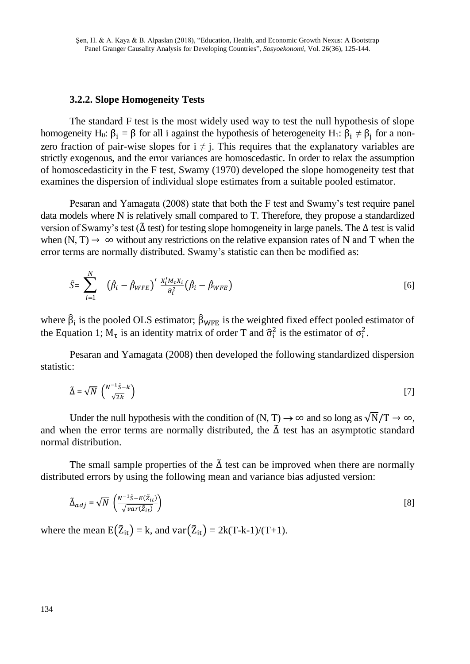#### **3.2.2. Slope Homogeneity Tests**

The standard F test is the most widely used way to test the null hypothesis of slope homogeneity H<sub>0</sub>:  $\beta_i = \beta$  for all i against the hypothesis of heterogeneity H<sub>1</sub>:  $\beta_i \neq \beta_j$  for a nonzero fraction of pair-wise slopes for  $i \neq j$ . This requires that the explanatory variables are strictly exogenous, and the error variances are homoscedastic. In order to relax the assumption of homoscedasticity in the F test, Swamy (1970) developed the slope homogeneity test that examines the dispersion of individual slope estimates from a suitable pooled estimator.

Pesaran and Yamagata (2008) state that both the F test and Swamy's test require panel data models where N is relatively small compared to T. Therefore, they propose a standardized version of Swamy's test (∆̃ test) for testing slope homogeneity in large panels. The ∆ test is valid when (N, T)  $\rightarrow \infty$  without any restrictions on the relative expansion rates of N and T when the error terms are normally distributed. Swamy's statistic can then be modified as:

$$
\tilde{S} = \sum_{i=1}^{N} \left( \hat{\beta}_i - \hat{\beta}_{WFE} \right)' \frac{X_i' M_\tau X_i}{\hat{\sigma}_i^2} \left( \hat{\beta}_i - \hat{\beta}_{WFE} \right)
$$
 [6]

where  $\hat{\beta}_i$  is the pooled OLS estimator;  $\hat{\beta}_{WFE}$  is the weighted fixed effect pooled estimator of the Equation 1;  $M_{\tau}$  is an identity matrix of order T and  $\hat{\sigma}_{i}^{2}$  is the estimator of  $\sigma_{i}^{2}$ .

Pesaran and Yamagata (2008) then developed the following standardized dispersion statistic:

$$
\tilde{\Delta} = \sqrt{N} \, \left( \frac{N^{-1} \bar{S} - k}{\sqrt{2k}} \right) \tag{7}
$$

Under the null hypothesis with the condition of  $(N, T) \rightarrow \infty$  and so long as  $\sqrt{N}/T \rightarrow \infty$ , and when the error terms are normally distributed, the  $\tilde{\Delta}$  test has an asymptotic standard normal distribution.

The small sample properties of the  $\tilde{\Delta}$  test can be improved when there are normally distributed errors by using the following mean and variance bias adjusted version:

$$
\tilde{\Delta}_{adj} = \sqrt{N} \left( \frac{N^{-1} \tilde{S} - E(\tilde{Z}_{it})}{\sqrt{var(\tilde{Z}_{it})}} \right)
$$
\n<sup>(8)</sup>

where the mean  $E(\tilde{Z}_{it}) = k$ , and  $var(\tilde{Z}_{it}) = 2k(T-k-1)/(T+1)$ .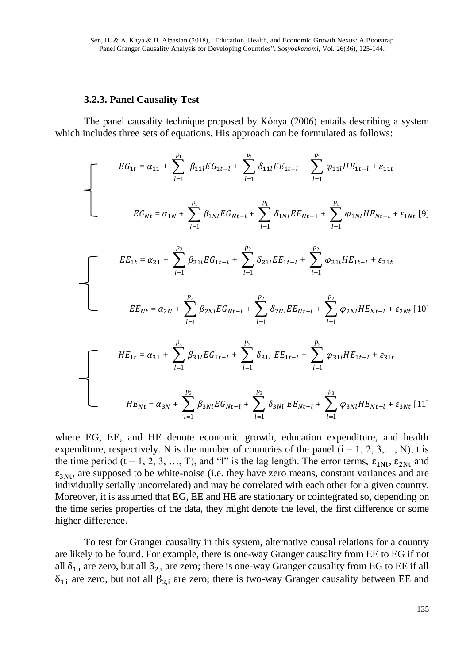#### **3.2.3. Panel Causality Test**

The panel causality technique proposed by Kónya (2006) entails describing a system which includes three sets of equations. His approach can be formulated as follows:

$$
EG_{1t} = \alpha_{11} + \sum_{l=1}^{p_1} \beta_{11l} EG_{1t-l} + \sum_{l=1}^{p_1} \delta_{11l} EE_{1t-l} + \sum_{l=1}^{p_1} \varphi_{11l} HE_{1t-l} + \varepsilon_{11t}
$$
  
\n
$$
EG_{Nt} = \alpha_{1N} + \sum_{l=1}^{p_1} \beta_{1Nl} EG_{Nt-l} + \sum_{l=1}^{p_1} \delta_{1Nl} EE_{Nt-1} + \sum_{l=1}^{p_1} \varphi_{1Nl} HE_{Nt-l} + \varepsilon_{1Nt} [9]
$$
  
\n
$$
EE_{1t} = \alpha_{21} + \sum_{l=1}^{p_2} \beta_{21l} EG_{1t-l} + \sum_{l=1}^{p_2} \delta_{21l} EE_{1t-l} + \sum_{l=1}^{p_2} \varphi_{21l} HE_{1t-l} + \varepsilon_{21t}
$$
  
\n
$$
EE_{Nt} = \alpha_{2N} + \sum_{l=1}^{p_2} \beta_{2Nl} EG_{Nt-l} + \sum_{l=1}^{p_2} \delta_{2Nl} EE_{Nt-l} + \sum_{l=1}^{p_2} \varphi_{2Nl} HE_{Nt-l} + \varepsilon_{2Nt} [10]
$$

$$
HE_{1t} = \alpha_{31} + \sum_{l=1}^{1} \beta_{31l} EG_{1t-l} + \sum_{l=1}^{1} \delta_{31l} EE_{1t-l} + \sum_{l=1}^{1} \varphi_{31l} HE_{1t-l} + \varepsilon_{31t}
$$
  

$$
HE_{Nt} = \alpha_{3N} + \sum_{l=1}^{p_3} \beta_{3Nl} EG_{Nt-l} + \sum_{l=1}^{p_3} \delta_{3Nl} EE_{Nt-l} + \sum_{l=1}^{p_3} \varphi_{3Nl} HE_{Nt-l} + \varepsilon_{3Nt} [11]
$$

where EG, EE, and HE denote economic growth, education expenditure, and health expenditure, respectively. N is the number of countries of the panel  $(i = 1, 2, 3, \dots, N)$ , t is the time period  $(t = 1, 2, 3, ..., T)$ , and "l" is the lag length. The error terms,  $\epsilon_{1Nt}$ ,  $\epsilon_{2Nt}$  and  $\varepsilon_{3Nt}$ , are supposed to be white-noise (i.e. they have zero means, constant variances and are individually serially uncorrelated) and may be correlated with each other for a given country. Moreover, it is assumed that EG, EE and HE are stationary or cointegrated so, depending on the time series properties of the data, they might denote the level, the first difference or some higher difference.

To test for Granger causality in this system, alternative causal relations for a country are likely to be found. For example, there is one-way Granger causality from EE to EG if not all  $\delta_{1,i}$  are zero, but all  $\beta_{2,i}$  are zero; there is one-way Granger causality from EG to EE if all  $\delta_{1,i}$  are zero, but not all  $\beta_{2,i}$  are zero; there is two-way Granger causality between EE and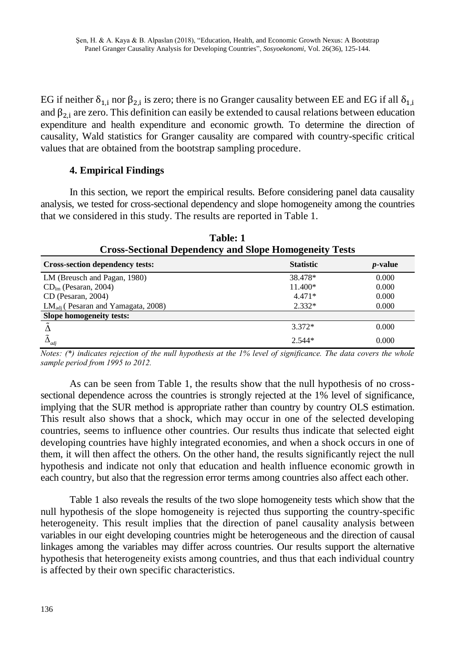EG if neither  $\delta_{1,i}$  nor  $\beta_{2,i}$  is zero; there is no Granger causality between EE and EG if all  $\delta_{1,i}$ and  $\beta_{2,i}$  are zero. This definition can easily be extended to causal relations between education expenditure and health expenditure and economic growth. To determine the direction of causality, Wald statistics for Granger causality are compared with country-specific critical values that are obtained from the bootstrap sampling procedure.

## **4. Empirical Findings**

In this section, we report the empirical results. Before considering panel data causality analysis, we tested for cross-sectional dependency and slope homogeneity among the countries that we considered in this study. The results are reported in Table 1.

| <b>Cross-Sectional Dependency and Slope Homogeneity Tests</b> |                  |                 |  |
|---------------------------------------------------------------|------------------|-----------------|--|
| <b>Cross-section dependency tests:</b>                        | <b>Statistic</b> | <i>p</i> -value |  |
| LM (Breusch and Pagan, 1980)                                  | 38.478*          | 0.000           |  |
| $CDlm$ (Pesaran, 2004)                                        | 11.400*          | 0.000           |  |
| CD (Pesaran, 2004)                                            | $4.471*$         | 0.000           |  |
| $LMadi$ (Pesaran and Yamagata, 2008)                          | $2.332*$         | 0.000           |  |
| Slope homogeneity tests:                                      |                  |                 |  |
| $\tilde{\phantom{a}}$                                         | $3.372*$         | 0.000           |  |
| $\Delta_{adj}$                                                | $2.544*$         | 0.000           |  |

**Table: 1**

*Notes: (\*) indicates rejection of the null hypothesis at the 1% level of significance. The data covers the whole sample period from 1995 to 2012.*

As can be seen from Table 1, the results show that the null hypothesis of no crosssectional dependence across the countries is strongly rejected at the 1% level of significance, implying that the SUR method is appropriate rather than country by country OLS estimation. This result also shows that a shock, which may occur in one of the selected developing countries, seems to influence other countries. Our results thus indicate that selected eight developing countries have highly integrated economies, and when a shock occurs in one of them, it will then affect the others. On the other hand, the results significantly reject the null hypothesis and indicate not only that education and health influence economic growth in each country, but also that the regression error terms among countries also affect each other.

Table 1 also reveals the results of the two slope homogeneity tests which show that the null hypothesis of the slope homogeneity is rejected thus supporting the country-specific heterogeneity. This result implies that the direction of panel causality analysis between variables in our eight developing countries might be heterogeneous and the direction of causal linkages among the variables may differ across countries. Our results support the alternative hypothesis that heterogeneity exists among countries, and thus that each individual country is affected by their own specific characteristics.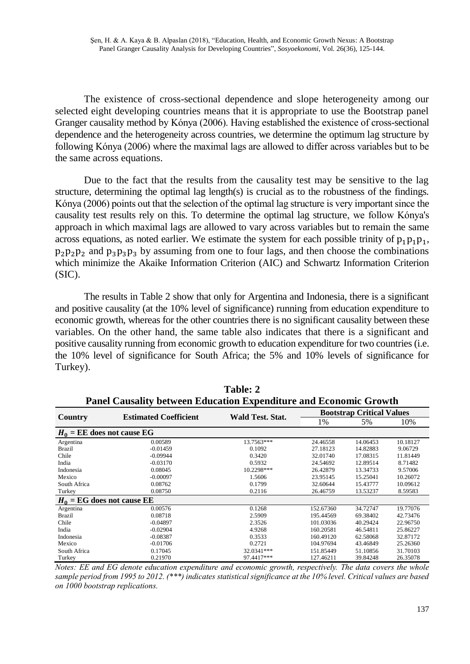The existence of cross-sectional dependence and slope heterogeneity among our selected eight developing countries means that it is appropriate to use the Bootstrap panel Granger causality method by Kónya (2006). Having established the existence of cross-sectional dependence and the heterogeneity across countries, we determine the optimum lag structure by following Kónya (2006) where the maximal lags are allowed to differ across variables but to be the same across equations.

Due to the fact that the results from the causality test may be sensitive to the lag structure, determining the optimal lag length(s) is crucial as to the robustness of the findings. Kónya (2006) points out that the selection of the optimal lag structure is very important since the causality test results rely on this. To determine the optimal lag structure, we follow Kónya's approach in which maximal lags are allowed to vary across variables but to remain the same across equations, as noted earlier. We estimate the system for each possible trinity of  $p_1p_1p_1$ ,  $p_2p_2p_2$  and  $p_3p_3p_3$  by assuming from one to four lags, and then choose the combinations which minimize the Akaike Information Criterion (AIC) and Schwartz Information Criterion (SIC).

The results in Table 2 show that only for Argentina and Indonesia, there is a significant and positive causality (at the 10% level of significance) running from education expenditure to economic growth, whereas for the other countries there is no significant causality between these variables. On the other hand, the same table also indicates that there is a significant and positive causality running from economic growth to education expenditure for two countries (i.e. the 10% level of significance for South Africa; the 5% and 10% levels of significance for Turkey).

**Table: 2**

| <b>Panel Causality between Education Expenditure and Economic Growth</b> |                              |                  |                                  |          |          |
|--------------------------------------------------------------------------|------------------------------|------------------|----------------------------------|----------|----------|
| Country                                                                  | <b>Estimated Coefficient</b> | Wald Test. Stat. | <b>Bootstrap Critical Values</b> |          |          |
|                                                                          |                              |                  | 1%                               | 5%       | 10%      |
| $H_0$ = EE does not cause EG                                             |                              |                  |                                  |          |          |
| Argentina                                                                | 0.00589                      | 13.7563***       | 24.46558                         | 14.06453 | 10.18127 |
| Brazil                                                                   | $-0.01459$                   | 0.1092           | 27.18123                         | 14.82883 | 9.06729  |
| Chile                                                                    | $-0.09944$                   | 0.3420           | 32.01740                         | 17.08315 | 11.81449 |
| India                                                                    | $-0.03170$                   | 0.5932           | 24.54692                         | 12.89514 | 8.71482  |
| Indonesia                                                                | 0.08045                      | 10.2298***       | 26.42879                         | 13.34733 | 9.57006  |
| Mexico                                                                   | $-0.00097$                   | 1.5606           | 23.95145                         | 15.25041 | 10.26072 |
| South Africa                                                             | 0.08762                      | 0.1799           | 32.60644                         | 15.43777 | 10.09612 |
| Turkey                                                                   | 0.08750                      | 0.2116           | 26.46759                         | 13.53237 | 8.59583  |
| $H_0 = EG$ does not cause EE                                             |                              |                  |                                  |          |          |
| Argentina                                                                | 0.00576                      | 0.1268           | 152.67360                        | 34.72747 | 19.77076 |
| Brazil                                                                   | 0.08718                      | 2.5909           | 195.44569                        | 69.38402 | 42.73476 |
| Chile                                                                    | $-0.04897$                   | 2.3526           | 101.03036                        | 40.29424 | 22.96750 |
| India                                                                    | $-0.02904$                   | 4.9268           | 160.20581                        | 46.54811 | 25.86227 |
| Indonesia                                                                | $-0.08387$                   | 0.3533           | 160.49120                        | 62.58068 | 32.87172 |
| Mexico                                                                   | $-0.01706$                   | 0.2721           | 104.97694                        | 43.46849 | 25.26360 |
| South Africa                                                             | 0.17045                      | 32.0341***       | 151.85449                        | 51.10856 | 31.70103 |
| Turkey                                                                   | 0.21970                      | 97.4417***       | 127.46211                        | 39.84248 | 26.35078 |

*Notes: EE and EG denote education expenditure and economic growth, respectively. The data covers the whole sample period from 1995 to 2012. (\*\*\*) indicates statistical significance at the 10% level. Critical values are based on 1000 bootstrap replications.*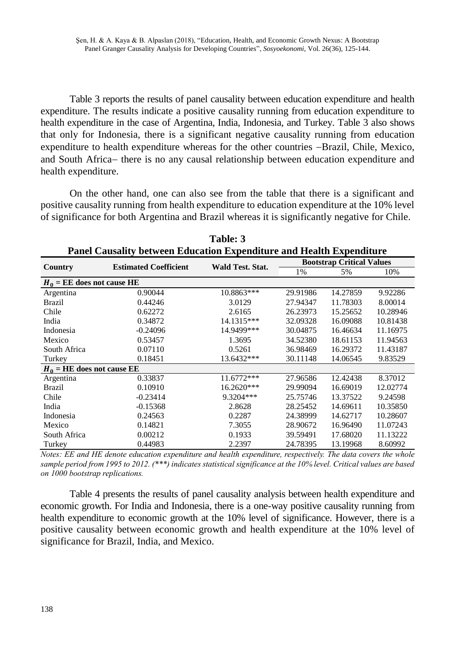Table 3 reports the results of panel causality between education expenditure and health expenditure. The results indicate a positive causality running from education expenditure to health expenditure in the case of Argentina, India, Indonesia, and Turkey. Table 3 also shows that only for Indonesia, there is a significant negative causality running from education expenditure to health expenditure whereas for the other countries -Brazil, Chile, Mexico, and South Africa- there is no any causal relationship between education expenditure and health expenditure.

On the other hand, one can also see from the table that there is a significant and positive causality running from health expenditure to education expenditure at the 10% level of significance for both Argentina and Brazil whereas it is significantly negative for Chile.

| т анст сайзангу эссмеси влисанон вхрениците ани теани вхрениците |                              |                         |                                  |          |          |
|------------------------------------------------------------------|------------------------------|-------------------------|----------------------------------|----------|----------|
|                                                                  | <b>Estimated Coefficient</b> | <b>Wald Test. Stat.</b> | <b>Bootstrap Critical Values</b> |          |          |
| Country                                                          |                              |                         | 1%                               | 5%       | 10%      |
| $H_0$ = EE does not cause HE                                     |                              |                         |                                  |          |          |
| Argentina                                                        | 0.90044                      | 10.8863***              | 29.91986                         | 14.27859 | 9.92286  |
| Brazil                                                           | 0.44246                      | 3.0129                  | 27.94347                         | 11.78303 | 8.00014  |
| Chile                                                            | 0.62272                      | 2.6165                  | 26.23973                         | 15.25652 | 10.28946 |
| India                                                            | 0.34872                      | 14.1315***              | 32.09328                         | 16.09088 | 10.81438 |
| Indonesia                                                        | $-0.24096$                   | 14.9499***              | 30.04875                         | 16.46634 | 11.16975 |
| Mexico                                                           | 0.53457                      | 1.3695                  | 34.52380                         | 18.61153 | 11.94563 |
| South Africa                                                     | 0.07110                      | 0.5261                  | 36.98469                         | 16.29372 | 11.43187 |
| Turkey                                                           | 0.18451                      | 13.6432***              | 30.11148                         | 14.06545 | 9.83529  |
| $H_0$ = HE does not cause EE                                     |                              |                         |                                  |          |          |
| Argentina                                                        | 0.33837                      | 11.6772***              | 27.96586                         | 12.42438 | 8.37012  |
| Brazil                                                           | 0.10910                      | 16.2620***              | 29.99094                         | 16.69019 | 12.02774 |
| Chile                                                            | $-0.23414$                   | 9.3204***               | 25.75746                         | 13.37522 | 9.24598  |
| India                                                            | $-0.15368$                   | 2.8628                  | 28.25452                         | 14.69611 | 10.35850 |
| Indonesia                                                        | 0.24563                      | 0.2287                  | 24.38999                         | 14.62717 | 10.28607 |
| Mexico                                                           | 0.14821                      | 7.3055                  | 28.90672                         | 16.96490 | 11.07243 |
| South Africa                                                     | 0.00212                      | 0.1933                  | 39.59491                         | 17.68020 | 11.13222 |
| Turkey                                                           | 0.44983                      | 2.2397                  | 24.78395                         | 13.19968 | 8.60992  |

**Table: 3 Panel Causality between Education Expenditure and Health Expenditure**

*Notes: EE and HE denote education expenditure and health expenditure, respectively. The data covers the whole sample period from 1995 to 2012. (\*\*\*) indicates statistical significance at the 10% level. Critical values are based on 1000 bootstrap replications.*

Table 4 presents the results of panel causality analysis between health expenditure and economic growth. For India and Indonesia, there is a one-way positive causality running from health expenditure to economic growth at the 10% level of significance. However, there is a positive causality between economic growth and health expenditure at the 10% level of significance for Brazil, India, and Mexico.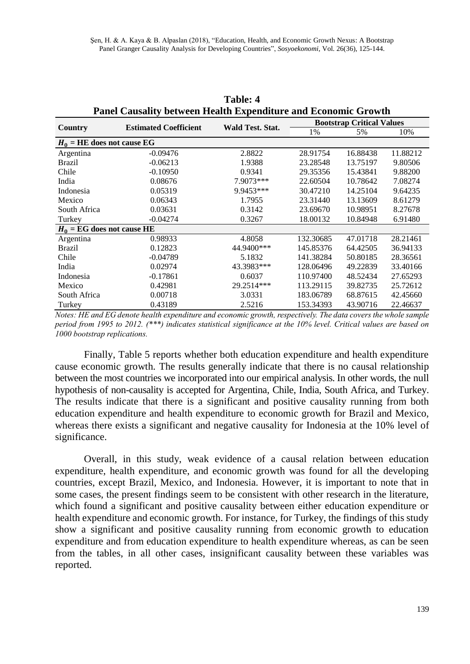| I and Causanty between Health Expenditure and Economic Growth |                              |                  |                                  |          |          |
|---------------------------------------------------------------|------------------------------|------------------|----------------------------------|----------|----------|
| Country                                                       | <b>Estimated Coefficient</b> | Wald Test. Stat. | <b>Bootstrap Critical Values</b> |          |          |
|                                                               |                              |                  | 1%                               | 5%       | 10%      |
| $H_0$ = HE does not cause EG                                  |                              |                  |                                  |          |          |
| Argentina                                                     | $-0.09476$                   | 2.8822           | 28.91754                         | 16.88438 | 11.88212 |
| Brazil                                                        | $-0.06213$                   | 1.9388           | 23.28548                         | 13.75197 | 9.80506  |
| Chile                                                         | $-0.10950$                   | 0.9341           | 29.35356                         | 15.43841 | 9.88200  |
| India                                                         | 0.08676                      | 7.9073***        | 22.60504                         | 10.78642 | 7.08274  |
| Indonesia                                                     | 0.05319                      | 9.9453***        | 30.47210                         | 14.25104 | 9.64235  |
| Mexico                                                        | 0.06343                      | 1.7955           | 23.31440                         | 13.13609 | 8.61279  |
| South Africa                                                  | 0.03631                      | 0.3142           | 23.69670                         | 10.98951 | 8.27678  |
| Turkey                                                        | $-0.04274$                   | 0.3267           | 18.00132                         | 10.84948 | 6.91480  |
| $H_0 = EG$ does not cause HE                                  |                              |                  |                                  |          |          |
| Argentina                                                     | 0.98933                      | 4.8058           | 132.30685                        | 47.01718 | 28.21461 |
| Brazil                                                        | 0.12823                      | 44.9400***       | 145.85376                        | 64.42505 | 36.94133 |
| Chile                                                         | $-0.04789$                   | 5.1832           | 141.38284                        | 50.80185 | 28.36561 |
| India                                                         | 0.02974                      | 43.3983***       | 128.06496                        | 49.22839 | 33.40166 |
| Indonesia                                                     | $-0.17861$                   | 0.6037           | 110.97400                        | 48.52434 | 27.65293 |
| Mexico                                                        | 0.42981                      | 29.2514***       | 113.29115                        | 39.82735 | 25.72612 |
| South Africa                                                  | 0.00718                      | 3.0331           | 183.06789                        | 68.87615 | 42.45660 |
| Turkey                                                        | 0.43189                      | 2.5216           | 153.34393                        | 43.90716 | 22.46637 |

**Table: 4 Panel Causality between Health Expenditure and Economic Growth**

*Notes: HE and EG denote health expenditure and economic growth, respectively. The data covers the whole sample period from 1995 to 2012. (\*\*\*) indicates statistical significance at the 10% level. Critical values are based on 1000 bootstrap replications.*

Finally, Table 5 reports whether both education expenditure and health expenditure cause economic growth. The results generally indicate that there is no causal relationship between the most countries we incorporated into our empirical analysis. In other words, the null hypothesis of non-causality is accepted for Argentina, Chile, India, South Africa, and Turkey. The results indicate that there is a significant and positive causality running from both education expenditure and health expenditure to economic growth for Brazil and Mexico, whereas there exists a significant and negative causality for Indonesia at the 10% level of significance.

Overall, in this study, weak evidence of a causal relation between education expenditure, health expenditure, and economic growth was found for all the developing countries, except Brazil, Mexico, and Indonesia. However, it is important to note that in some cases, the present findings seem to be consistent with other research in the literature, which found a significant and positive causality between either education expenditure or health expenditure and economic growth. For instance, for Turkey, the findings of this study show a significant and positive causality running from economic growth to education expenditure and from education expenditure to health expenditure whereas, as can be seen from the tables, in all other cases, insignificant causality between these variables was reported.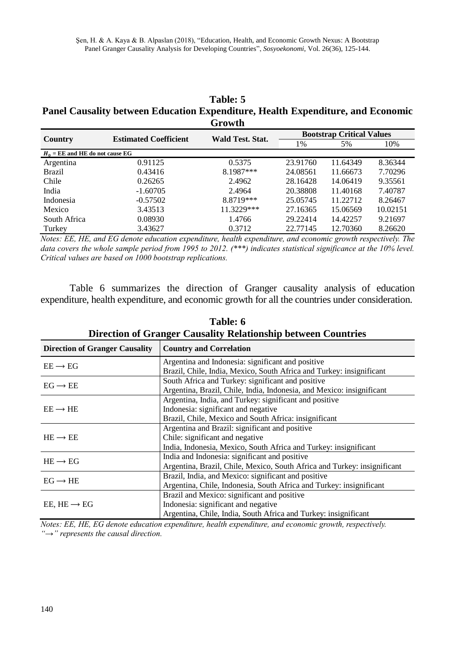| Table: 5                                                                        |
|---------------------------------------------------------------------------------|
| Panel Causality between Education Expenditure, Health Expenditure, and Economic |
| Growth                                                                          |

| .                                 |                              |                  |                                  |          |          |
|-----------------------------------|------------------------------|------------------|----------------------------------|----------|----------|
|                                   | <b>Estimated Coefficient</b> | Wald Test. Stat. | <b>Bootstrap Critical Values</b> |          |          |
| Country                           |                              |                  | 1%                               | 5%       | 10%      |
| $H_0$ = EE and HE do not cause EG |                              |                  |                                  |          |          |
| Argentina                         | 0.91125                      | 0.5375           | 23.91760                         | 11.64349 | 8.36344  |
| <b>Brazil</b>                     | 0.43416                      | 8.1987***        | 24.08561                         | 11.66673 | 7.70296  |
| Chile                             | 0.26265                      | 2.4962           | 28.16428                         | 14.06419 | 9.35561  |
| India                             | $-1.60705$                   | 2.4964           | 20.38808                         | 11.40168 | 7.40787  |
| Indonesia                         | $-0.57502$                   | 8.8719 ***       | 25.05745                         | 11.22712 | 8.26467  |
| Mexico                            | 3.43513                      | 11.3229***       | 27.16365                         | 15.06569 | 10.02151 |
| South Africa                      | 0.08930                      | 1.4766           | 29.22414                         | 14.42257 | 9.21697  |
| Turkey                            | 3.43627                      | 0.3712           | 22.77145                         | 12.70360 | 8.26620  |

*Notes: EE, HE, and EG denote education expenditure, health expenditure, and economic growth respectively. The*  data covers the whole sample period from 1995 to 2012. (\*\*\*) indicates statistical significance at the 10% level. *Critical values are based on 1000 bootstrap replications.*

Table 6 summarizes the direction of Granger causality analysis of education expenditure, health expenditure, and economic growth for all the countries under consideration.

| <b>Direction of Granger Causality</b> | <b>Country and Correlation</b>                                           |
|---------------------------------------|--------------------------------------------------------------------------|
| $EE \rightarrow EG$                   | Argentina and Indonesia: significant and positive                        |
|                                       | Brazil, Chile, India, Mexico, South Africa and Turkey: insignificant     |
| $EG \rightarrow EE$                   | South Africa and Turkey: significant and positive                        |
|                                       | Argentina, Brazil, Chile, India, Indonesia, and Mexico: insignificant    |
|                                       | Argentina, India, and Turkey: significant and positive                   |
| $EE \rightarrow HE$                   | Indonesia: significant and negative                                      |
|                                       | Brazil, Chile, Mexico and South Africa: insignificant                    |
|                                       | Argentina and Brazil: significant and positive                           |
| $HE \rightarrow EE$                   | Chile: significant and negative                                          |
|                                       | India, Indonesia, Mexico, South Africa and Turkey: insignificant         |
| $HE \rightarrow EG$                   | India and Indonesia: significant and positive                            |
|                                       | Argentina, Brazil, Chile, Mexico, South Africa and Turkey: insignificant |
| $EG \rightarrow HE$                   | Brazil, India, and Mexico: significant and positive                      |
|                                       | Argentina, Chile, Indonesia, South Africa and Turkey: insignificant      |
|                                       | Brazil and Mexico: significant and positive                              |
| EE, $HE \rightarrow EG$               | Indonesia: significant and negative                                      |
|                                       | Argentina, Chile, India, South Africa and Turkey: insignificant          |

**Table: 6 Direction of Granger Causality Relationship between Countries**

*Notes: EE, HE, EG denote education expenditure, health expenditure, and economic growth, respectively. "→" represents the causal direction.*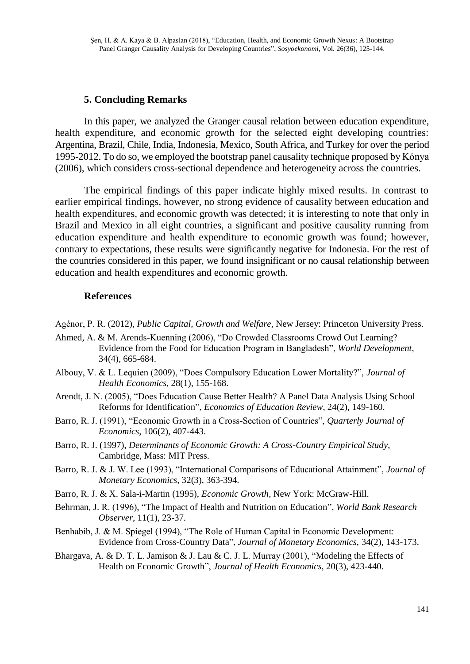## **5. Concluding Remarks**

In this paper, we analyzed the Granger causal relation between education expenditure, health expenditure, and economic growth for the selected eight developing countries: Argentina, Brazil, Chile, India, Indonesia, Mexico, South Africa, and Turkey for over the period 1995-2012. To do so, we employed the bootstrap panel causality technique proposed by Kónya (2006), which considers cross-sectional dependence and heterogeneity across the countries.

The empirical findings of this paper indicate highly mixed results. In contrast to earlier empirical findings, however, no strong evidence of causality between education and health expenditures, and economic growth was detected; it is interesting to note that only in Brazil and Mexico in all eight countries, a significant and positive causality running from education expenditure and health expenditure to economic growth was found; however, contrary to expectations, these results were significantly negative for Indonesia. For the rest of the countries considered in this paper, we found insignificant or no causal relationship between education and health expenditures and economic growth.

## **References**

- Agénor, P. R. (2012), *Public Capital, Growth and Welfare*, New Jersey: Princeton University Press.
- Ahmed, A. & M. Arends-Kuenning (2006), "Do Crowded Classrooms Crowd Out Learning? Evidence from the Food for Education Program in Bangladesh", *World Development*, 34(4), 665-684.
- Albouy, V. & L. Lequien (2009), "Does Compulsory Education Lower Mortality?", *Journal of Health Economics,* 28(1), 155-168.
- Arendt, J. N. (2005), "Does Education Cause Better Health? A Panel Data Analysis Using School Reforms for Identification", *Economics of Education Review*, 24(2), 149-160.
- Barro, R. J. (1991), "Economic Growth in a Cross-Section of Countries", *Quarterly Journal of Economics*, 106(2), 407-443.
- Barro, R. J. (1997), *Determinants of Economic Growth: A Cross-Country Empirical Study*, Cambridge, Mass: MIT Press.
- Barro, R. J. & J. W. Lee (1993), "International Comparisons of Educational Attainment", *Journal of Monetary Economics,* 32(3), 363-394.
- Barro, R. J. & X. Sala-i-Martin (1995), *Economic Growth*, New York: McGraw-Hill.
- Behrman, J. R. (1996), "The Impact of Health and Nutrition on Education", *World Bank Research Observer*, 11(1), 23-37.
- Benhabib, J. & M. Spiegel (1994), "The Role of Human Capital in Economic Development: Evidence from Cross-Country Data", *Journal of Monetary Economics,* 34(2), 143-173.
- Bhargava, A. & D. T. L. Jamison & J. Lau & C. J. L. Murray (2001), "Modeling the Effects of Health on Economic Growth", *Journal of Health Economics,* 20(3), 423-440.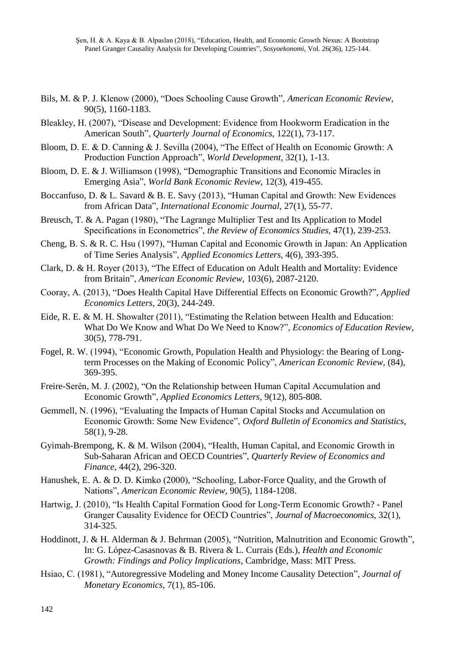- Bils, M. & P. J. Klenow (2000), "Does Schooling Cause Growth", *American Economic Review*, 90(5), 1160-1183.
- Bleakley, H. (2007), "Disease and Development: Evidence from Hookworm Eradication in the American South", *Quarterly Journal of Economics,* 122(1), 73-117.
- Bloom, D. E. & D. Canning & J. Sevilla (2004), "The Effect of Health on Economic Growth: A Production Function Approach", *World Development,* 32(1), 1-13.
- Bloom, D. E. & J. Williamson (1998), "Demographic Transitions and Economic Miracles in Emerging Asia", *World Bank Economic Review,* 12(3), 419-455.
- Boccanfuso, D. & L. Savard & B. E. Savy (2013), "Human Capital and Growth: New Evidences from African Data", *International Economic Journal,* 27(1), 55-77.
- Breusch, T. & A. Pagan (1980), "The Lagrange Multiplier Test and Its Application to Model Specifications in Econometrics", *the Review of Economics Studies,* 47(1), 239-253.
- Cheng, B. S. & R. C. Hsu (1997), "Human Capital and Economic Growth in Japan: An Application of Time Series Analysis", *Applied Economics Letters,* 4(6), 393-395.
- Clark, D. & H. Royer (2013), "The Effect of Education on Adult Health and Mortality: Evidence from Britain", *American Economic Review*, 103(6), 2087-2120.
- Cooray, A. (2013), "Does Health Capital Have Differential Effects on Economic Growth?", *Applied Economics Letters,* 20(3), 244-249.
- Eide, R. E. & M. H. Showalter (2011), "Estimating the Relation between Health and Education: What Do We Know and What Do We Need to Know?", *Economics of Education Review,* 30(5), 778-791.
- Fogel, R. W. (1994), "Economic Growth, Population Health and Physiology: the Bearing of Longterm Processes on the Making of Economic Policy", *American Economic Review,* (84), 369-395.
- Freire-Serén, M. J. (2002), "On the Relationship between Human Capital Accumulation and Economic Growth", *Applied Economics Letters,* 9(12), 805-808.
- Gemmell, N. (1996), "Evaluating the Impacts of Human Capital Stocks and Accumulation on Economic Growth: Some New Evidence", *Oxford Bulletin of Economics and Statistics*, 58(1), 9-28.
- Gyimah-Brempong, K. & M. Wilson (2004), "Health, Human Capital, and Economic Growth in Sub-Saharan African and OECD Countries", *Quarterly Review of Economics and Finance,* 44(2), 296-320.
- Hanushek, E. A. & D. D. Kimko (2000), "Schooling, Labor-Force Quality, and the Growth of Nations", *American Economic Review,* 90(5), 1184-1208.
- Hartwig, J. (2010), "Is Health Capital Formation Good for Long-Term Economic Growth? Panel Granger Causality Evidence for OECD Countries", *Journal of Macroeconomics*, 32(1), 314-325.
- Hoddinott, J. & H. Alderman & J. Behrman (2005), "Nutrition, Malnutrition and Economic Growth", In: G. López-Casasnovas & B. Rivera & L. Currais (Eds.)*, Health and Economic Growth: Findings and Policy Implications*, Cambridge, Mass: MIT Press.
- Hsiao, C. (1981), "Autoregressive Modeling and Money Income Causality Detection", *Journal of Monetary Economics,* 7(1), 85-106.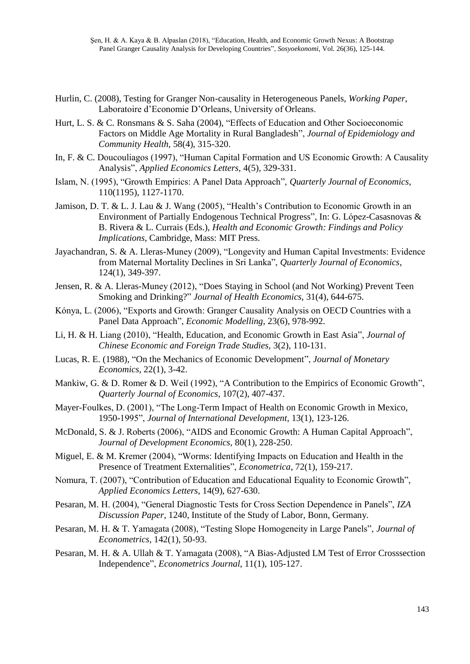- Hurlin, C. (2008), Testing for Granger Non-causality in Heterogeneous Panels, *Working Paper*, Laboratoire d'Economie D'Orleans, University of Orleans.
- Hurt, L. S. & C. Ronsmans & S. Saha (2004), "Effects of Education and Other Socioeconomic Factors on Middle Age Mortality in Rural Bangladesh", *Journal of Epidemiology and Community Health,* 58(4), 315-320.
- In, F. & C. Doucouliagos (1997), "Human Capital Formation and US Economic Growth: A Causality Analysis", *Applied Economics Letters,* 4(5), 329-331.
- Islam, N. (1995), "Growth Empirics: A Panel Data Approach", *Quarterly Journal of Economics*, 110(1195), 1127-1170.
- Jamison, D. T. & L. J. Lau & J. Wang (2005), "Health's Contribution to Economic Growth in an Environment of Partially Endogenous Technical Progress", In: G. López-Casasnovas & B. Rivera & L. Currais (Eds.), *Health and Economic Growth: Findings and Policy Implications*, Cambridge, Mass: MIT Press.
- Jayachandran, S. & A. Lleras-Muney (2009), "Longevity and Human Capital Investments: Evidence from Maternal Mortality Declines in Sri Lanka", *Quarterly Journal of Economics*, 124(1), 349-397.
- Jensen, R. & A. Lleras-Muney (2012), "Does Staying in School (and Not Working) Prevent Teen Smoking and Drinking?" *Journal of Health Economics,* 31(4), 644-675.
- Kónya, L. (2006), "Exports and Growth: Granger Causality Analysis on OECD Countries with a Panel Data Approach", *Economic Modelling,* 23(6), 978-992.
- Li, H. & H. Liang (2010), "Health, Education, and Economic Growth in East Asia", *Journal of Chinese Economic and Foreign Trade Studies,* 3(2), 110-131.
- Lucas, R. E. (1988), "On the Mechanics of Economic Development", *Journal of Monetary Economics,* 22(1), 3-42.
- Mankiw, G. & D. Romer & D. Weil (1992), "A Contribution to the Empirics of Economic Growth", *Quarterly Journal of Economics,* 107(2), 407-437.
- Mayer-Foulkes, D. (2001), "The Long-Term Impact of Health on Economic Growth in Mexico, 1950-1995", *Journal of International Development,* 13(1), 123-126.
- McDonald, S. & J. Roberts (2006), "AIDS and Economic Growth: A Human Capital Approach", *Journal of Development Economics,* 80(1), 228-250.
- Miguel, E. & M. Kremer (2004), "Worms: Identifying Impacts on Education and Health in the Presence of Treatment Externalities", *Econometrica*, 72(1), 159-217.
- Nomura, T. (2007), "Contribution of Education and Educational Equality to Economic Growth", *Applied Economics Letters*, 14(9), 627-630.
- Pesaran, M. H. (2004), "General Diagnostic Tests for Cross Section Dependence in Panels", *IZA Discussion Paper*, 1240, Institute of the Study of Labor, Bonn, Germany.
- Pesaran, M. H. & T. Yamagata (2008), "Testing Slope Homogeneity in Large Panels", *Journal of Econometrics*, 142(1), 50-93.
- Pesaran, M. H. & A. Ullah & T. Yamagata (2008), "A Bias-Adjusted LM Test of Error Crosssection Independence", *Econometrics Journal,* 11(1), 105-127.